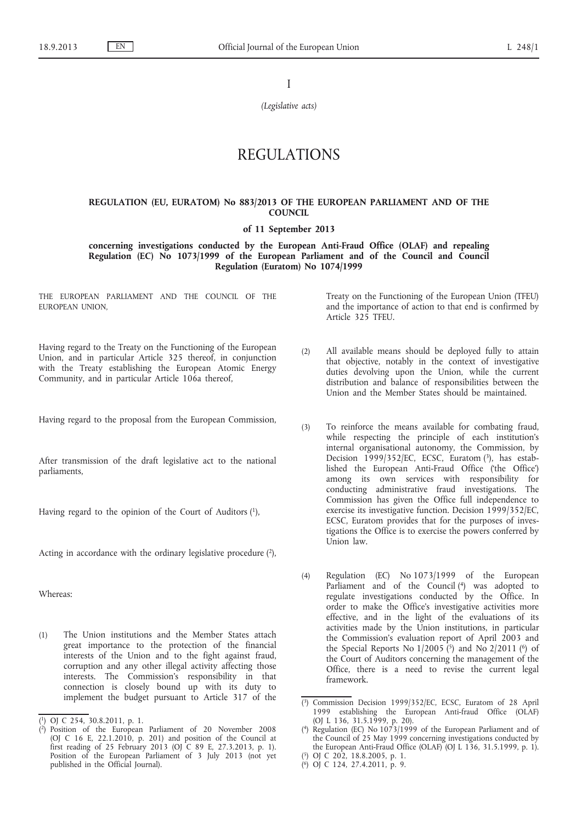I

*(Legislative acts)*

# REGULATIONS

### **REGULATION (EU, EURATOM) No 883/2013 OF THE EUROPEAN PARLIAMENT AND OF THE COUNCIL**

**of 11 September 2013**

**concerning investigations conducted by the European Anti-Fraud Office (OLAF) and repealing Regulation (EC) No 1073/1999 of the European Parliament and of the Council and Council Regulation (Euratom) No 1074/1999**

THE EUROPEAN PARLIAMENT AND THE COUNCIL OF THE EUROPEAN UNION,

Having regard to the Treaty on the Functioning of the European Union, and in particular Article 325 thereof, in conjunction with the Treaty establishing the European Atomic Energy Community, and in particular Article 106a thereof,

Having regard to the proposal from the European Commission,

After transmission of the draft legislative act to the national parliaments,

Having regard to the opinion of the Court of Auditors  $(1)$ ,

Acting in accordance with the ordinary legislative procedure  $(2)$ ,

Whereas:

(1) The Union institutions and the Member States attach great importance to the protection of the financial interests of the Union and to the fight against fraud, corruption and any other illegal activity affecting those interests. The Commission's responsibility in that connection is closely bound up with its duty to implement the budget pursuant to Article 317 of the Treaty on the Functioning of the European Union (TFEU) and the importance of action to that end is confirmed by Article 325 TFEU.

- (2) All available means should be deployed fully to attain that objective, notably in the context of investigative duties devolving upon the Union, while the current distribution and balance of responsibilities between the Union and the Member States should be maintained.
- (3) To reinforce the means available for combating fraud, while respecting the principle of each institution's internal organisational autonomy, the Commission, by Decision 1999/352/EC, ECSC, Euratom (3), has established the European Anti-Fraud Office ('the Office') among its own services with responsibility for conducting administrative fraud investigations. The Commission has given the Office full independence to exercise its investigative function. Decision 1999/352/EC, ECSC, Euratom provides that for the purposes of investigations the Office is to exercise the powers conferred by Union law.
- (4) Regulation (EC) No 1073/1999 of the European Parliament and of the Council (4) was adopted to regulate investigations conducted by the Office. In order to make the Office's investigative activities more effective, and in the light of the evaluations of its activities made by the Union institutions, in particular the Commission's evaluation report of April 2003 and the Special Reports No  $1/2005$  (5) and No  $2/2011$  (6) of the Court of Auditors concerning the management of the Office, there is a need to revise the current legal framework.

- ( 5) OJ C 202, 18.8.2005, p. 1.
- ( 6) OJ C 124, 27.4.2011, p. 9.

<sup>(</sup> 1) OJ C 254, 30.8.2011, p. 1.

<sup>(</sup> 2) Position of the European Parliament of 20 November 2008 (OJ C 16 E, 22.1.2010, p. 201) and position of the Council at first reading of 25 February 2013 (OJ C 89 E, 27.3.2013, p. 1). Position of the European Parliament of 3 July 2013 (not yet published in the Official Journal).

<sup>(</sup> 3) Commission Decision 1999/352/EC, ECSC, Euratom of 28 April 1999 establishing the European Anti-fraud Office (OLAF) (OJ L 136, 31.5.1999, p. 20).

<sup>(</sup> 4) Regulation (EC) No 1073/1999 of the European Parliament and of the Council of 25 May 1999 concerning investigations conducted by the European Anti-Fraud Office (OLAF) (OJ L 136, 31.5.1999, p. 1).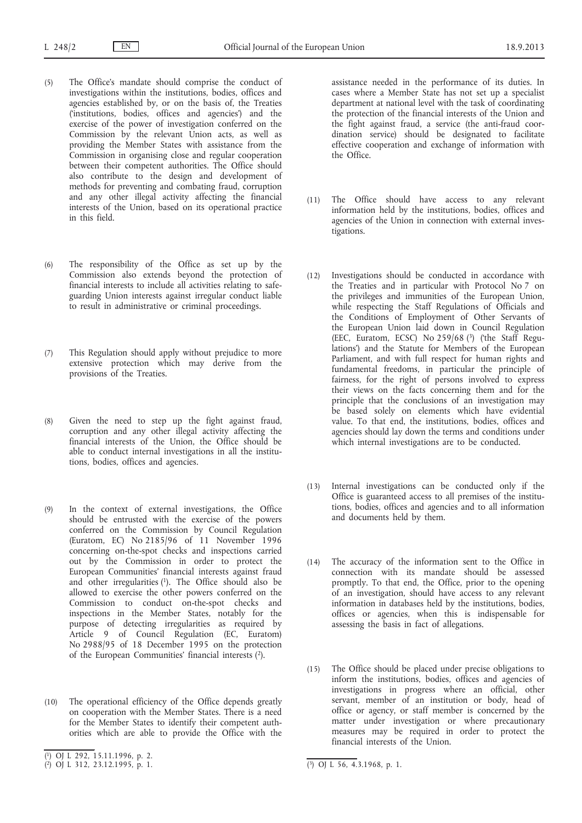- (5) The Office's mandate should comprise the conduct of investigations within the institutions, bodies, offices and agencies established by, or on the basis of, the Treaties ('institutions, bodies, offices and agencies') and the exercise of the power of investigation conferred on the Commission by the relevant Union acts, as well as providing the Member States with assistance from the Commission in organising close and regular cooperation between their competent authorities. The Office should also contribute to the design and development of methods for preventing and combating fraud, corruption and any other illegal activity affecting the financial interests of the Union, based on its operational practice in this field.
- (6) The responsibility of the Office as set up by the Commission also extends beyond the protection of financial interests to include all activities relating to safeguarding Union interests against irregular conduct liable to result in administrative or criminal proceedings.
- (7) This Regulation should apply without prejudice to more extensive protection which may derive from the provisions of the Treaties.
- (8) Given the need to step up the fight against fraud, corruption and any other illegal activity affecting the financial interests of the Union, the Office should be able to conduct internal investigations in all the institutions, bodies, offices and agencies.
- (9) In the context of external investigations, the Office should be entrusted with the exercise of the powers conferred on the Commission by Council Regulation (Euratom, EC) No 2185/96 of 11 November 1996 concerning on-the-spot checks and inspections carried out by the Commission in order to protect the European Communities' financial interests against fraud and other irregularities  $(1)$ . The Office should also be allowed to exercise the other powers conferred on the Commission to conduct on-the-spot checks and inspections in the Member States, notably for the purpose of detecting irregularities as required by Article 9 of Council Regulation (EC, Euratom) No 2988/95 of 18 December 1995 on the protection of the European Communities' financial interests (2).
- (10) The operational efficiency of the Office depends greatly on cooperation with the Member States. There is a need for the Member States to identify their competent authorities which are able to provide the Office with the

assistance needed in the performance of its duties. In cases where a Member State has not set up a specialist department at national level with the task of coordinating the protection of the financial interests of the Union and the fight against fraud, a service (the anti-fraud coordination service) should be designated to facilitate effective cooperation and exchange of information with the Office.

- (11) The Office should have access to any relevant information held by the institutions, bodies, offices and agencies of the Union in connection with external investigations.
- (12) Investigations should be conducted in accordance with the Treaties and in particular with Protocol No 7 on the privileges and immunities of the European Union, while respecting the Staff Regulations of Officials and the Conditions of Employment of Other Servants of the European Union laid down in Council Regulation (EEC, Euratom, ECSC) No 259/68 (3) ('the Staff Regulations') and the Statute for Members of the European Parliament, and with full respect for human rights and fundamental freedoms, in particular the principle of fairness, for the right of persons involved to express their views on the facts concerning them and for the principle that the conclusions of an investigation may be based solely on elements which have evidential value. To that end, the institutions, bodies, offices and agencies should lay down the terms and conditions under which internal investigations are to be conducted.
- (13) Internal investigations can be conducted only if the Office is guaranteed access to all premises of the institutions, bodies, offices and agencies and to all information and documents held by them.
- (14) The accuracy of the information sent to the Office in connection with its mandate should be assessed promptly. To that end, the Office, prior to the opening of an investigation, should have access to any relevant information in databases held by the institutions, bodies, offices or agencies, when this is indispensable for assessing the basis in fact of allegations.
- (15) The Office should be placed under precise obligations to inform the institutions, bodies, offices and agencies of investigations in progress where an official, other servant, member of an institution or body, head of office or agency, or staff member is concerned by the matter under investigation or where precautionary measures may be required in order to protect the financial interests of the Union.

<sup>(</sup> 1) OJ L 292, 15.11.1996, p. 2.

<sup>(</sup> 2) OJ L 312, 23.12.1995, p. 1. (3) OJ L 56, 4.3.1968, p. 1.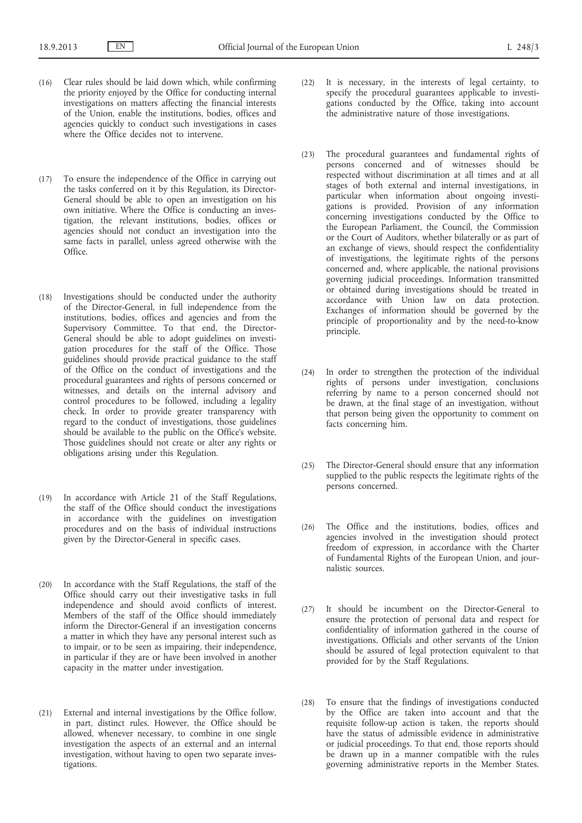- (16) Clear rules should be laid down which, while confirming the priority enjoyed by the Office for conducting internal investigations on matters affecting the financial interests of the Union, enable the institutions, bodies, offices and agencies quickly to conduct such investigations in cases where the Office decides not to intervene.
- (17) To ensure the independence of the Office in carrying out the tasks conferred on it by this Regulation, its Director-General should be able to open an investigation on his own initiative. Where the Office is conducting an investigation, the relevant institutions, bodies, offices or agencies should not conduct an investigation into the same facts in parallel, unless agreed otherwise with the Office.
- (18) Investigations should be conducted under the authority of the Director-General, in full independence from the institutions, bodies, offices and agencies and from the Supervisory Committee. To that end, the Director-General should be able to adopt guidelines on investigation procedures for the staff of the Office. Those guidelines should provide practical guidance to the staff of the Office on the conduct of investigations and the procedural guarantees and rights of persons concerned or witnesses, and details on the internal advisory and control procedures to be followed, including a legality check. In order to provide greater transparency with regard to the conduct of investigations, those guidelines should be available to the public on the Office's website. Those guidelines should not create or alter any rights or obligations arising under this Regulation.
- (19) In accordance with Article 21 of the Staff Regulations, the staff of the Office should conduct the investigations in accordance with the guidelines on investigation procedures and on the basis of individual instructions given by the Director-General in specific cases.
- (20) In accordance with the Staff Regulations, the staff of the Office should carry out their investigative tasks in full independence and should avoid conflicts of interest. Members of the staff of the Office should immediately inform the Director-General if an investigation concerns a matter in which they have any personal interest such as to impair, or to be seen as impairing, their independence, in particular if they are or have been involved in another capacity in the matter under investigation.
- (21) External and internal investigations by the Office follow, in part, distinct rules. However, the Office should be allowed, whenever necessary, to combine in one single investigation the aspects of an external and an internal investigation, without having to open two separate investigations.
- (22) It is necessary, in the interests of legal certainty, to specify the procedural guarantees applicable to investigations conducted by the Office, taking into account the administrative nature of those investigations.
- (23) The procedural guarantees and fundamental rights of persons concerned and of witnesses should be respected without discrimination at all times and at all stages of both external and internal investigations, in particular when information about ongoing investigations is provided. Provision of any information concerning investigations conducted by the Office to the European Parliament, the Council, the Commission or the Court of Auditors, whether bilaterally or as part of an exchange of views, should respect the confidentiality of investigations, the legitimate rights of the persons concerned and, where applicable, the national provisions governing judicial proceedings. Information transmitted or obtained during investigations should be treated in accordance with Union law on data protection. Exchanges of information should be governed by the principle of proportionality and by the need-to-know principle.
- (24) In order to strengthen the protection of the individual rights of persons under investigation, conclusions referring by name to a person concerned should not be drawn, at the final stage of an investigation, without that person being given the opportunity to comment on facts concerning him.
- (25) The Director-General should ensure that any information supplied to the public respects the legitimate rights of the persons concerned.
- (26) The Office and the institutions, bodies, offices and agencies involved in the investigation should protect freedom of expression, in accordance with the Charter of Fundamental Rights of the European Union, and journalistic sources.
- (27) It should be incumbent on the Director-General to ensure the protection of personal data and respect for confidentiality of information gathered in the course of investigations. Officials and other servants of the Union should be assured of legal protection equivalent to that provided for by the Staff Regulations.
- (28) To ensure that the findings of investigations conducted by the Office are taken into account and that the requisite follow-up action is taken, the reports should have the status of admissible evidence in administrative or judicial proceedings. To that end, those reports should be drawn up in a manner compatible with the rules governing administrative reports in the Member States.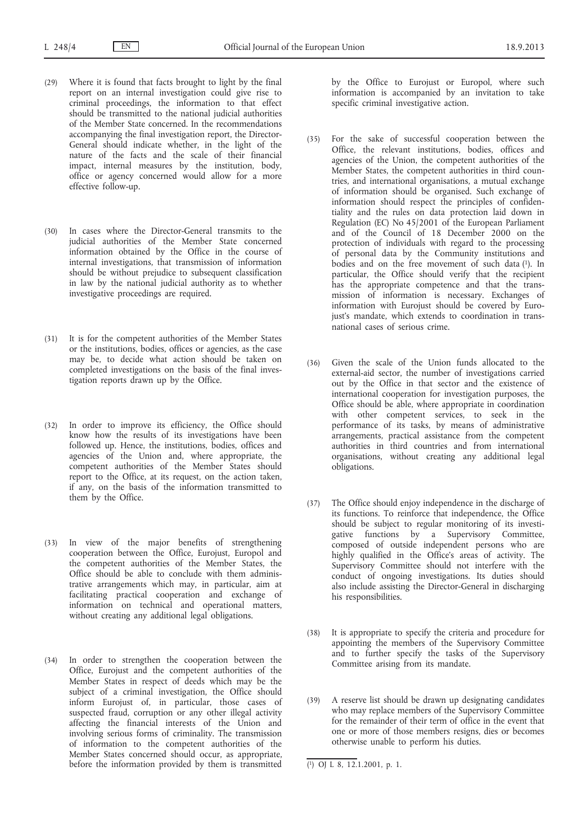- (29) Where it is found that facts brought to light by the final report on an internal investigation could give rise to criminal proceedings, the information to that effect should be transmitted to the national judicial authorities of the Member State concerned. In the recommendations accompanying the final investigation report, the Director-General should indicate whether, in the light of the nature of the facts and the scale of their financial impact, internal measures by the institution, body, office or agency concerned would allow for a more effective follow-up.
- (30) In cases where the Director-General transmits to the judicial authorities of the Member State concerned information obtained by the Office in the course of internal investigations, that transmission of information should be without prejudice to subsequent classification in law by the national judicial authority as to whether investigative proceedings are required.
- (31) It is for the competent authorities of the Member States or the institutions, bodies, offices or agencies, as the case may be, to decide what action should be taken on completed investigations on the basis of the final investigation reports drawn up by the Office.
- (32) In order to improve its efficiency, the Office should know how the results of its investigations have been followed up. Hence, the institutions, bodies, offices and agencies of the Union and, where appropriate, the competent authorities of the Member States should report to the Office, at its request, on the action taken, if any, on the basis of the information transmitted to them by the Office.
- (33) In view of the major benefits of strengthening cooperation between the Office, Eurojust, Europol and the competent authorities of the Member States, the Office should be able to conclude with them administrative arrangements which may, in particular, aim at facilitating practical cooperation and exchange of information on technical and operational matters, without creating any additional legal obligations.
- (34) In order to strengthen the cooperation between the Office, Eurojust and the competent authorities of the Member States in respect of deeds which may be the subject of a criminal investigation, the Office should inform Eurojust of, in particular, those cases of suspected fraud, corruption or any other illegal activity affecting the financial interests of the Union and involving serious forms of criminality. The transmission of information to the competent authorities of the Member States concerned should occur, as appropriate, before the information provided by them is transmitted

by the Office to Eurojust or Europol, where such information is accompanied by an invitation to take specific criminal investigative action.

- (35) For the sake of successful cooperation between the Office, the relevant institutions, bodies, offices and agencies of the Union, the competent authorities of the Member States, the competent authorities in third countries, and international organisations, a mutual exchange of information should be organised. Such exchange of information should respect the principles of confidentiality and the rules on data protection laid down in Regulation (EC) No 45/2001 of the European Parliament and of the Council of 18 December 2000 on the protection of individuals with regard to the processing of personal data by the Community institutions and bodies and on the free movement of such data (1). In particular, the Office should verify that the recipient has the appropriate competence and that the transmission of information is necessary. Exchanges of information with Eurojust should be covered by Eurojust's mandate, which extends to coordination in transnational cases of serious crime.
- (36) Given the scale of the Union funds allocated to the external-aid sector, the number of investigations carried out by the Office in that sector and the existence of international cooperation for investigation purposes, the Office should be able, where appropriate in coordination with other competent services, to seek in the performance of its tasks, by means of administrative arrangements, practical assistance from the competent authorities in third countries and from international organisations, without creating any additional legal obligations.
- (37) The Office should enjoy independence in the discharge of its functions. To reinforce that independence, the Office should be subject to regular monitoring of its investigative functions by a Supervisory Committee, composed of outside independent persons who are highly qualified in the Office's areas of activity. The Supervisory Committee should not interfere with the conduct of ongoing investigations. Its duties should also include assisting the Director-General in discharging his responsibilities.
- (38) It is appropriate to specify the criteria and procedure for appointing the members of the Supervisory Committee and to further specify the tasks of the Supervisory Committee arising from its mandate.
- (39) A reserve list should be drawn up designating candidates who may replace members of the Supervisory Committee for the remainder of their term of office in the event that one or more of those members resigns, dies or becomes otherwise unable to perform his duties.

<sup>(</sup> 1) OJ L 8, 12.1.2001, p. 1.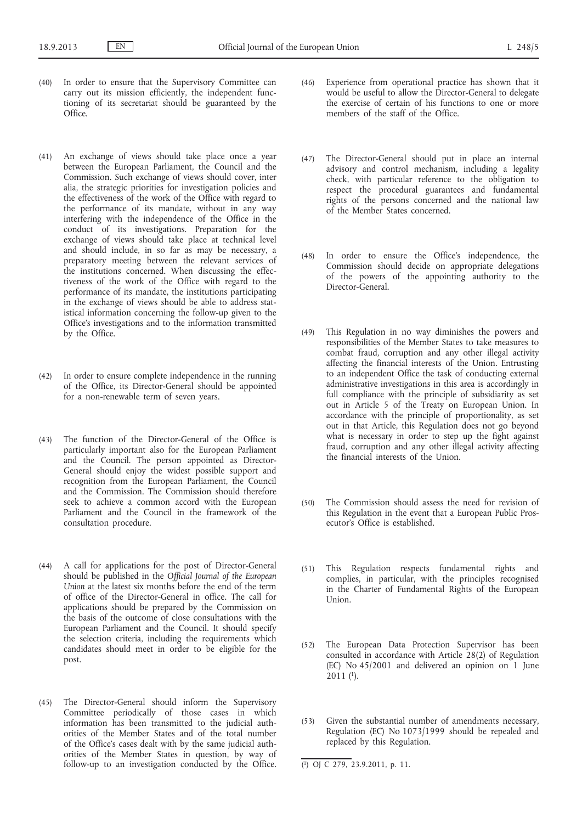- (40) In order to ensure that the Supervisory Committee can carry out its mission efficiently, the independent functioning of its secretariat should be guaranteed by the Office<sup>1</sup>
- (41) An exchange of views should take place once a year between the European Parliament, the Council and the Commission. Such exchange of views should cover, inter alia, the strategic priorities for investigation policies and the effectiveness of the work of the Office with regard to the performance of its mandate, without in any way interfering with the independence of the Office in the conduct of its investigations. Preparation for the exchange of views should take place at technical level and should include, in so far as may be necessary, a preparatory meeting between the relevant services of the institutions concerned. When discussing the effectiveness of the work of the Office with regard to the performance of its mandate, the institutions participating in the exchange of views should be able to address statistical information concerning the follow-up given to the Office's investigations and to the information transmitted by the Office.
- (42) In order to ensure complete independence in the running of the Office, its Director-General should be appointed for a non-renewable term of seven years.
- (43) The function of the Director-General of the Office is particularly important also for the European Parliament and the Council. The person appointed as Director-General should enjoy the widest possible support and recognition from the European Parliament, the Council and the Commission. The Commission should therefore seek to achieve a common accord with the European Parliament and the Council in the framework of the consultation procedure.
- (44) A call for applications for the post of Director-General should be published in the *Official Journal of the European Union* at the latest six months before the end of the term of office of the Director-General in office. The call for applications should be prepared by the Commission on the basis of the outcome of close consultations with the European Parliament and the Council. It should specify the selection criteria, including the requirements which candidates should meet in order to be eligible for the post.
- (45) The Director-General should inform the Supervisory Committee periodically of those cases in which information has been transmitted to the judicial authorities of the Member States and of the total number of the Office's cases dealt with by the same judicial authorities of the Member States in question, by way of follow-up to an investigation conducted by the Office.
- (46) Experience from operational practice has shown that it would be useful to allow the Director-General to delegate the exercise of certain of his functions to one or more members of the staff of the Office.
- (47) The Director-General should put in place an internal advisory and control mechanism, including a legality check, with particular reference to the obligation to respect the procedural guarantees and fundamental rights of the persons concerned and the national law of the Member States concerned.
- (48) In order to ensure the Office's independence, the Commission should decide on appropriate delegations of the powers of the appointing authority to the Director-General.
- (49) This Regulation in no way diminishes the powers and responsibilities of the Member States to take measures to combat fraud, corruption and any other illegal activity affecting the financial interests of the Union. Entrusting to an independent Office the task of conducting external administrative investigations in this area is accordingly in full compliance with the principle of subsidiarity as set out in Article 5 of the Treaty on European Union. In accordance with the principle of proportionality, as set out in that Article, this Regulation does not go beyond what is necessary in order to step up the fight against fraud, corruption and any other illegal activity affecting the financial interests of the Union.
- (50) The Commission should assess the need for revision of this Regulation in the event that a European Public Prosecutor's Office is established.
- (51) This Regulation respects fundamental rights and complies, in particular, with the principles recognised in the Charter of Fundamental Rights of the European Union.
- (52) The European Data Protection Supervisor has been consulted in accordance with Article 28(2) of Regulation (EC) No 45/2001 and delivered an opinion on 1 June  $2011$   $(^{1})$ .
- (53) Given the substantial number of amendments necessary, Regulation (EC) No 1073/1999 should be repealed and replaced by this Regulation.

<sup>(</sup> 1) OJ C 279, 23.9.2011, p. 11.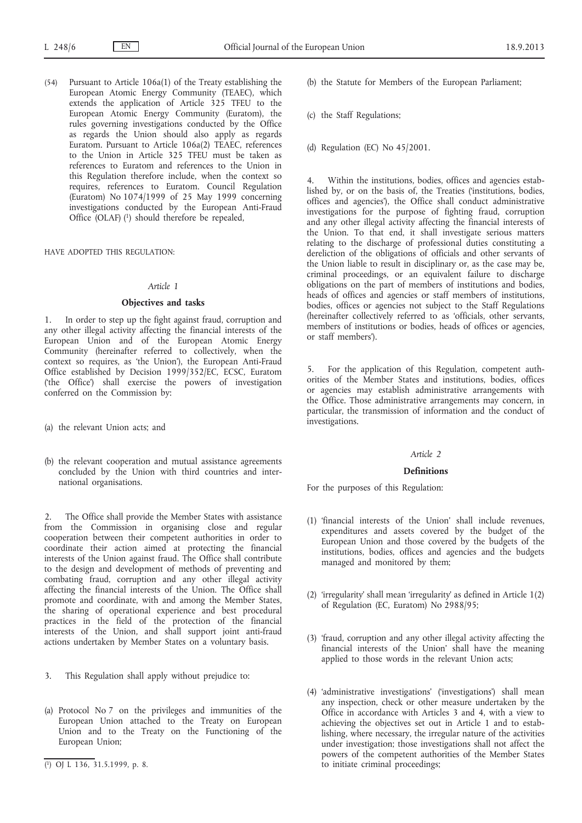(54) Pursuant to Article 106a(1) of the Treaty establishing the European Atomic Energy Community (TEAEC), which extends the application of Article 325 TFEU to the European Atomic Energy Community (Euratom), the rules governing investigations conducted by the Office as regards the Union should also apply as regards Euratom. Pursuant to Article 106a(2) TEAEC, references to the Union in Article 325 TFEU must be taken as references to Euratom and references to the Union in this Regulation therefore include, when the context so requires, references to Euratom. Council Regulation (Euratom) No 1074/1999 of 25 May 1999 concerning investigations conducted by the European Anti-Fraud Office (OLAF) (1) should therefore be repealed,

HAVE ADOPTED THIS REGULATION:

#### *Article 1*

### **Objectives and tasks**

1. In order to step up the fight against fraud, corruption and any other illegal activity affecting the financial interests of the European Union and of the European Atomic Energy Community (hereinafter referred to collectively, when the context so requires, as 'the Union'), the European Anti-Fraud Office established by Decision 1999/352/EC, ECSC, Euratom ('the Office') shall exercise the powers of investigation conferred on the Commission by:

- (a) the relevant Union acts; and
- (b) the relevant cooperation and mutual assistance agreements concluded by the Union with third countries and international organisations.

2. The Office shall provide the Member States with assistance from the Commission in organising close and regular cooperation between their competent authorities in order to coordinate their action aimed at protecting the financial interests of the Union against fraud. The Office shall contribute to the design and development of methods of preventing and combating fraud, corruption and any other illegal activity affecting the financial interests of the Union. The Office shall promote and coordinate, with and among the Member States, the sharing of operational experience and best procedural practices in the field of the protection of the financial interests of the Union, and shall support joint anti-fraud actions undertaken by Member States on a voluntary basis.

- 3. This Regulation shall apply without prejudice to:
- (a) Protocol No 7 on the privileges and immunities of the European Union attached to the Treaty on European Union and to the Treaty on the Functioning of the European Union;
- (b) the Statute for Members of the European Parliament;
- (c) the Staff Regulations;
- (d) Regulation (EC) No 45/2001.

4. Within the institutions, bodies, offices and agencies established by, or on the basis of, the Treaties ('institutions, bodies, offices and agencies'), the Office shall conduct administrative investigations for the purpose of fighting fraud, corruption and any other illegal activity affecting the financial interests of the Union. To that end, it shall investigate serious matters relating to the discharge of professional duties constituting a dereliction of the obligations of officials and other servants of the Union liable to result in disciplinary or, as the case may be, criminal proceedings, or an equivalent failure to discharge obligations on the part of members of institutions and bodies, heads of offices and agencies or staff members of institutions, bodies, offices or agencies not subject to the Staff Regulations (hereinafter collectively referred to as 'officials, other servants, members of institutions or bodies, heads of offices or agencies, or staff members').

5. For the application of this Regulation, competent authorities of the Member States and institutions, bodies, offices or agencies may establish administrative arrangements with the Office. Those administrative arrangements may concern, in particular, the transmission of information and the conduct of investigations.

### *Article 2*

### **Definitions**

For the purposes of this Regulation:

- (1) 'financial interests of the Union' shall include revenues, expenditures and assets covered by the budget of the European Union and those covered by the budgets of the institutions, bodies, offices and agencies and the budgets managed and monitored by them;
- (2) 'irregularity' shall mean 'irregularity' as defined in Article 1(2) of Regulation (EC, Euratom) No 2988/95;
- (3) 'fraud, corruption and any other illegal activity affecting the financial interests of the Union' shall have the meaning applied to those words in the relevant Union acts;
- (4) 'administrative investigations' ('investigations') shall mean any inspection, check or other measure undertaken by the Office in accordance with Articles 3 and 4, with a view to achieving the objectives set out in Article 1 and to establishing, where necessary, the irregular nature of the activities under investigation; those investigations shall not affect the powers of the competent authorities of the Member States to initiate criminal proceedings;

<sup>(</sup> 1) OJ L 136, 31.5.1999, p. 8.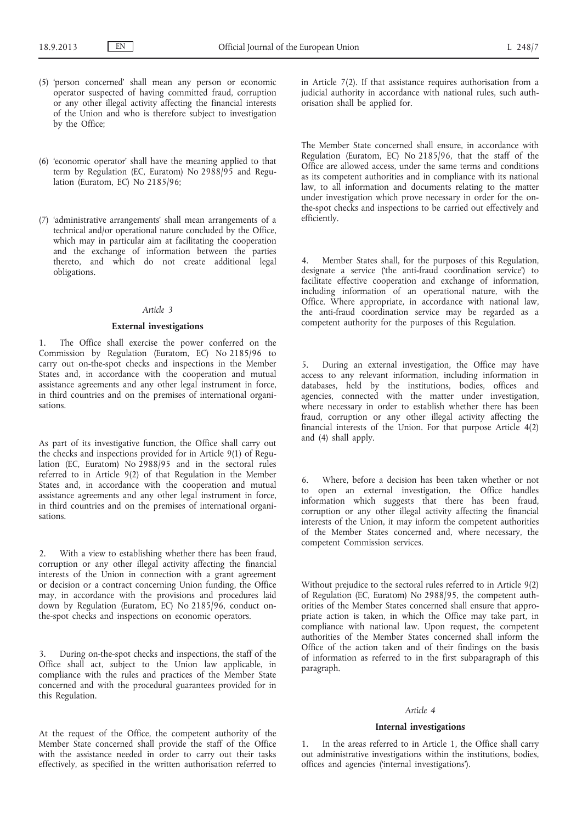- (5) 'person concerned' shall mean any person or economic operator suspected of having committed fraud, corruption or any other illegal activity affecting the financial interests of the Union and who is therefore subject to investigation by the Office;
- (6) 'economic operator' shall have the meaning applied to that term by Regulation (EC, Euratom) No 2988/95 and Regulation (Euratom, EC) No 2185/96;
- (7) 'administrative arrangements' shall mean arrangements of a technical and/or operational nature concluded by the Office, which may in particular aim at facilitating the cooperation and the exchange of information between the parties thereto, and which do not create additional legal obligations.

#### *Article 3*

### **External investigations**

The Office shall exercise the power conferred on the Commission by Regulation (Euratom, EC) No 2185/96 to carry out on-the-spot checks and inspections in the Member States and, in accordance with the cooperation and mutual assistance agreements and any other legal instrument in force, in third countries and on the premises of international organisations.

As part of its investigative function, the Office shall carry out the checks and inspections provided for in Article 9(1) of Regulation (EC, Euratom) No 2988/95 and in the sectoral rules referred to in Article 9(2) of that Regulation in the Member States and, in accordance with the cooperation and mutual assistance agreements and any other legal instrument in force, in third countries and on the premises of international organisations.

2. With a view to establishing whether there has been fraud, corruption or any other illegal activity affecting the financial interests of the Union in connection with a grant agreement or decision or a contract concerning Union funding, the Office may, in accordance with the provisions and procedures laid down by Regulation (Euratom, EC) No 2185/96, conduct onthe-spot checks and inspections on economic operators.

3. During on-the-spot checks and inspections, the staff of the Office shall act, subject to the Union law applicable, in compliance with the rules and practices of the Member State concerned and with the procedural guarantees provided for in this Regulation.

At the request of the Office, the competent authority of the Member State concerned shall provide the staff of the Office with the assistance needed in order to carry out their tasks effectively, as specified in the written authorisation referred to in Article 7(2). If that assistance requires authorisation from a judicial authority in accordance with national rules, such authorisation shall be applied for.

The Member State concerned shall ensure, in accordance with Regulation (Euratom, EC) No 2185/96, that the staff of the Office are allowed access, under the same terms and conditions as its competent authorities and in compliance with its national law, to all information and documents relating to the matter under investigation which prove necessary in order for the onthe-spot checks and inspections to be carried out effectively and efficiently.

Member States shall, for the purposes of this Regulation, designate a service ('the anti-fraud coordination service') to facilitate effective cooperation and exchange of information, including information of an operational nature, with the Office. Where appropriate, in accordance with national law, the anti-fraud coordination service may be regarded as a competent authority for the purposes of this Regulation.

5. During an external investigation, the Office may have access to any relevant information, including information in databases, held by the institutions, bodies, offices and agencies, connected with the matter under investigation, where necessary in order to establish whether there has been fraud, corruption or any other illegal activity affecting the financial interests of the Union. For that purpose Article 4(2) and (4) shall apply.

6. Where, before a decision has been taken whether or not to open an external investigation, the Office handles information which suggests that there has been fraud, corruption or any other illegal activity affecting the financial interests of the Union, it may inform the competent authorities of the Member States concerned and, where necessary, the competent Commission services.

Without prejudice to the sectoral rules referred to in Article 9(2) of Regulation (EC, Euratom) No 2988/95, the competent authorities of the Member States concerned shall ensure that appropriate action is taken, in which the Office may take part, in compliance with national law. Upon request, the competent authorities of the Member States concerned shall inform the Office of the action taken and of their findings on the basis of information as referred to in the first subparagraph of this paragraph.

### *Article 4*

#### **Internal investigations**

1. In the areas referred to in Article 1, the Office shall carry out administrative investigations within the institutions, bodies, offices and agencies ('internal investigations').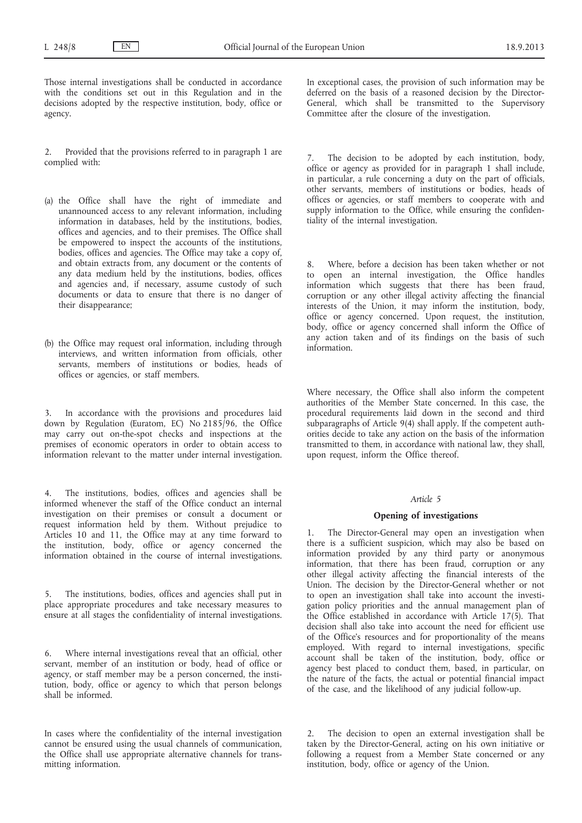Those internal investigations shall be conducted in accordance with the conditions set out in this Regulation and in the decisions adopted by the respective institution, body, office or agency.

2. Provided that the provisions referred to in paragraph 1 are complied with:

- (a) the Office shall have the right of immediate and unannounced access to any relevant information, including information in databases, held by the institutions, bodies, offices and agencies, and to their premises. The Office shall be empowered to inspect the accounts of the institutions, bodies, offices and agencies. The Office may take a copy of, and obtain extracts from, any document or the contents of any data medium held by the institutions, bodies, offices and agencies and, if necessary, assume custody of such documents or data to ensure that there is no danger of their disappearance;
- (b) the Office may request oral information, including through interviews, and written information from officials, other servants, members of institutions or bodies, heads of offices or agencies, or staff members.

3. In accordance with the provisions and procedures laid down by Regulation (Euratom, EC) No 2185/96, the Office may carry out on-the-spot checks and inspections at the premises of economic operators in order to obtain access to information relevant to the matter under internal investigation.

The institutions, bodies, offices and agencies shall be informed whenever the staff of the Office conduct an internal investigation on their premises or consult a document or request information held by them. Without prejudice to Articles 10 and 11, the Office may at any time forward to the institution, body, office or agency concerned the information obtained in the course of internal investigations.

5. The institutions, bodies, offices and agencies shall put in place appropriate procedures and take necessary measures to ensure at all stages the confidentiality of internal investigations.

6. Where internal investigations reveal that an official, other servant, member of an institution or body, head of office or agency, or staff member may be a person concerned, the institution, body, office or agency to which that person belongs shall be informed.

In cases where the confidentiality of the internal investigation cannot be ensured using the usual channels of communication, the Office shall use appropriate alternative channels for transmitting information.

In exceptional cases, the provision of such information may be deferred on the basis of a reasoned decision by the Director-General, which shall be transmitted to the Supervisory Committee after the closure of the investigation.

The decision to be adopted by each institution, body, office or agency as provided for in paragraph 1 shall include, in particular, a rule concerning a duty on the part of officials, other servants, members of institutions or bodies, heads of offices or agencies, or staff members to cooperate with and supply information to the Office, while ensuring the confidentiality of the internal investigation.

8. Where, before a decision has been taken whether or not to open an internal investigation, the Office handles information which suggests that there has been fraud, corruption or any other illegal activity affecting the financial interests of the Union, it may inform the institution, body, office or agency concerned. Upon request, the institution, body, office or agency concerned shall inform the Office of any action taken and of its findings on the basis of such information.

Where necessary, the Office shall also inform the competent authorities of the Member State concerned. In this case, the procedural requirements laid down in the second and third subparagraphs of Article 9(4) shall apply. If the competent authorities decide to take any action on the basis of the information transmitted to them, in accordance with national law, they shall, upon request, inform the Office thereof.

### *Article 5*

#### **Opening of investigations**

1. The Director-General may open an investigation when there is a sufficient suspicion, which may also be based on information provided by any third party or anonymous information, that there has been fraud, corruption or any other illegal activity affecting the financial interests of the Union. The decision by the Director-General whether or not to open an investigation shall take into account the investigation policy priorities and the annual management plan of the Office established in accordance with Article  $17(5)$ . That decision shall also take into account the need for efficient use of the Office's resources and for proportionality of the means employed. With regard to internal investigations, specific account shall be taken of the institution, body, office or agency best placed to conduct them, based, in particular, on the nature of the facts, the actual or potential financial impact of the case, and the likelihood of any judicial follow-up.

The decision to open an external investigation shall be taken by the Director-General, acting on his own initiative or following a request from a Member State concerned or any institution, body, office or agency of the Union.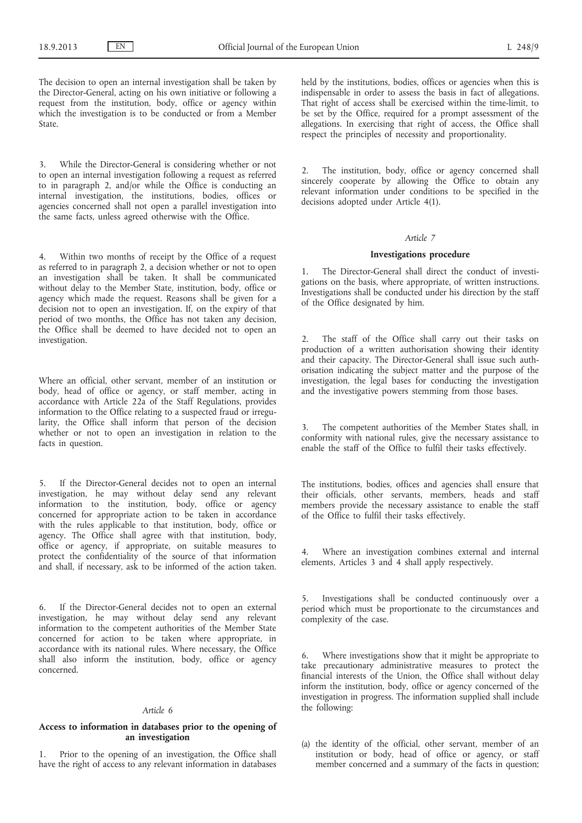The decision to open an internal investigation shall be taken by the Director-General, acting on his own initiative or following a request from the institution, body, office or agency within which the investigation is to be conducted or from a Member State.

3. While the Director-General is considering whether or not to open an internal investigation following a request as referred to in paragraph 2, and/or while the Office is conducting an internal investigation, the institutions, bodies, offices or agencies concerned shall not open a parallel investigation into the same facts, unless agreed otherwise with the Office.

4. Within two months of receipt by the Office of a request as referred to in paragraph 2, a decision whether or not to open an investigation shall be taken. It shall be communicated without delay to the Member State, institution, body, office or agency which made the request. Reasons shall be given for a decision not to open an investigation. If, on the expiry of that period of two months, the Office has not taken any decision, the Office shall be deemed to have decided not to open an investigation.

Where an official, other servant, member of an institution or body, head of office or agency, or staff member, acting in accordance with Article 22a of the Staff Regulations, provides information to the Office relating to a suspected fraud or irregularity, the Office shall inform that person of the decision whether or not to open an investigation in relation to the facts in question.

5. If the Director-General decides not to open an internal investigation, he may without delay send any relevant information to the institution, body, office or agency concerned for appropriate action to be taken in accordance with the rules applicable to that institution, body, office or agency. The Office shall agree with that institution, body, office or agency, if appropriate, on suitable measures to protect the confidentiality of the source of that information and shall, if necessary, ask to be informed of the action taken.

6. If the Director-General decides not to open an external investigation, he may without delay send any relevant information to the competent authorities of the Member State concerned for action to be taken where appropriate, in accordance with its national rules. Where necessary, the Office shall also inform the institution, body, office or agency concerned.

#### *Article 6*

### **Access to information in databases prior to the opening of an investigation**

1. Prior to the opening of an investigation, the Office shall have the right of access to any relevant information in databases held by the institutions, bodies, offices or agencies when this is indispensable in order to assess the basis in fact of allegations. That right of access shall be exercised within the time-limit, to be set by the Office, required for a prompt assessment of the allegations. In exercising that right of access, the Office shall respect the principles of necessity and proportionality.

2. The institution, body, office or agency concerned shall sincerely cooperate by allowing the Office to obtain any relevant information under conditions to be specified in the decisions adopted under Article 4(1).

#### *Article 7*

### **Investigations procedure**

1. The Director-General shall direct the conduct of investigations on the basis, where appropriate, of written instructions. Investigations shall be conducted under his direction by the staff of the Office designated by him.

2. The staff of the Office shall carry out their tasks on production of a written authorisation showing their identity and their capacity. The Director-General shall issue such authorisation indicating the subject matter and the purpose of the investigation, the legal bases for conducting the investigation and the investigative powers stemming from those bases.

The competent authorities of the Member States shall, in conformity with national rules, give the necessary assistance to enable the staff of the Office to fulfil their tasks effectively.

The institutions, bodies, offices and agencies shall ensure that their officials, other servants, members, heads and staff members provide the necessary assistance to enable the staff of the Office to fulfil their tasks effectively.

Where an investigation combines external and internal elements, Articles 3 and 4 shall apply respectively.

5. Investigations shall be conducted continuously over a period which must be proportionate to the circumstances and complexity of the case.

Where investigations show that it might be appropriate to take precautionary administrative measures to protect the financial interests of the Union, the Office shall without delay inform the institution, body, office or agency concerned of the investigation in progress. The information supplied shall include the following:

(a) the identity of the official, other servant, member of an institution or body, head of office or agency, or staff member concerned and a summary of the facts in question;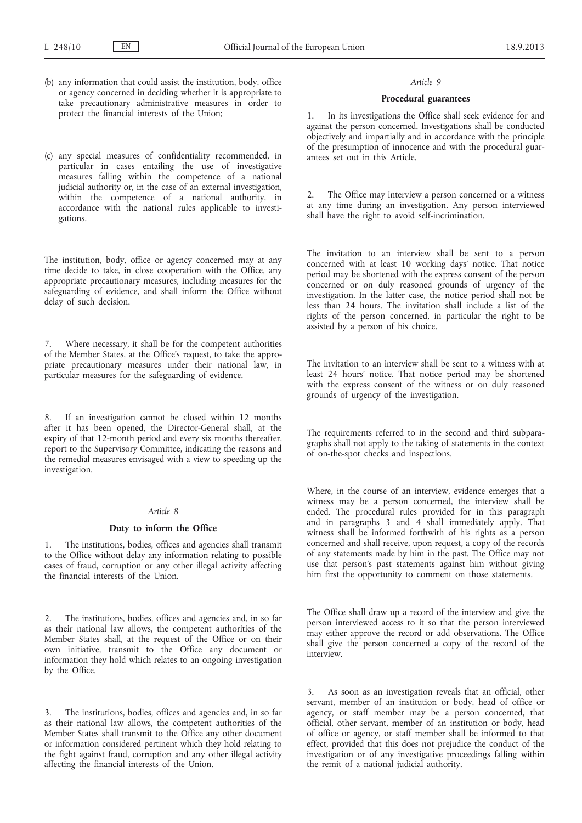- (b) any information that could assist the institution, body, office or agency concerned in deciding whether it is appropriate to take precautionary administrative measures in order to protect the financial interests of the Union;
- (c) any special measures of confidentiality recommended, in particular in cases entailing the use of investigative measures falling within the competence of a national judicial authority or, in the case of an external investigation, within the competence of a national authority, in accordance with the national rules applicable to investigations.

The institution, body, office or agency concerned may at any time decide to take, in close cooperation with the Office, any appropriate precautionary measures, including measures for the safeguarding of evidence, and shall inform the Office without delay of such decision.

7. Where necessary, it shall be for the competent authorities of the Member States, at the Office's request, to take the appropriate precautionary measures under their national law, in particular measures for the safeguarding of evidence.

8. If an investigation cannot be closed within 12 months after it has been opened, the Director-General shall, at the expiry of that 12-month period and every six months thereafter, report to the Supervisory Committee, indicating the reasons and the remedial measures envisaged with a view to speeding up the investigation.

### *Article 8*

### **Duty to inform the Office**

The institutions, bodies, offices and agencies shall transmit to the Office without delay any information relating to possible cases of fraud, corruption or any other illegal activity affecting the financial interests of the Union.

2. The institutions, bodies, offices and agencies and, in so far as their national law allows, the competent authorities of the Member States shall, at the request of the Office or on their own initiative, transmit to the Office any document or information they hold which relates to an ongoing investigation by the Office.

The institutions, bodies, offices and agencies and, in so far as their national law allows, the competent authorities of the Member States shall transmit to the Office any other document or information considered pertinent which they hold relating to the fight against fraud, corruption and any other illegal activity affecting the financial interests of the Union.

#### *Article 9*

### **Procedural guarantees**

1. In its investigations the Office shall seek evidence for and against the person concerned. Investigations shall be conducted objectively and impartially and in accordance with the principle of the presumption of innocence and with the procedural guarantees set out in this Article.

2. The Office may interview a person concerned or a witness at any time during an investigation. Any person interviewed shall have the right to avoid self-incrimination.

The invitation to an interview shall be sent to a person concerned with at least 10 working days' notice. That notice period may be shortened with the express consent of the person concerned or on duly reasoned grounds of urgency of the investigation. In the latter case, the notice period shall not be less than 24 hours. The invitation shall include a list of the rights of the person concerned, in particular the right to be assisted by a person of his choice.

The invitation to an interview shall be sent to a witness with at least 24 hours' notice. That notice period may be shortened with the express consent of the witness or on duly reasoned grounds of urgency of the investigation.

The requirements referred to in the second and third subparagraphs shall not apply to the taking of statements in the context of on-the-spot checks and inspections.

Where, in the course of an interview, evidence emerges that a witness may be a person concerned, the interview shall be ended. The procedural rules provided for in this paragraph and in paragraphs 3 and 4 shall immediately apply. That witness shall be informed forthwith of his rights as a person concerned and shall receive, upon request, a copy of the records of any statements made by him in the past. The Office may not use that person's past statements against him without giving him first the opportunity to comment on those statements.

The Office shall draw up a record of the interview and give the person interviewed access to it so that the person interviewed may either approve the record or add observations. The Office shall give the person concerned a copy of the record of the interview.

3. As soon as an investigation reveals that an official, other servant, member of an institution or body, head of office or agency, or staff member may be a person concerned, that official, other servant, member of an institution or body, head of office or agency, or staff member shall be informed to that effect, provided that this does not prejudice the conduct of the investigation or of any investigative proceedings falling within the remit of a national judicial authority.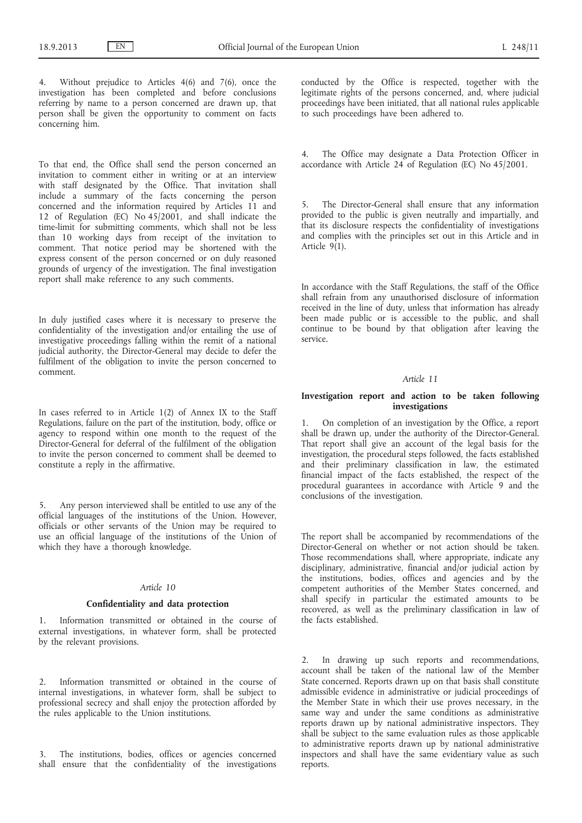4. Without prejudice to Articles 4(6) and 7(6), once the investigation has been completed and before conclusions referring by name to a person concerned are drawn up, that person shall be given the opportunity to comment on facts concerning him.

To that end, the Office shall send the person concerned an invitation to comment either in writing or at an interview with staff designated by the Office. That invitation shall include a summary of the facts concerning the person concerned and the information required by Articles 11 and 12 of Regulation (EC) No 45/2001, and shall indicate the time-limit for submitting comments, which shall not be less than 10 working days from receipt of the invitation to comment. That notice period may be shortened with the express consent of the person concerned or on duly reasoned grounds of urgency of the investigation. The final investigation report shall make reference to any such comments.

In duly justified cases where it is necessary to preserve the confidentiality of the investigation and/or entailing the use of investigative proceedings falling within the remit of a national judicial authority, the Director-General may decide to defer the fulfilment of the obligation to invite the person concerned to comment.

In cases referred to in Article 1(2) of Annex IX to the Staff Regulations, failure on the part of the institution, body, office or agency to respond within one month to the request of the Director-General for deferral of the fulfilment of the obligation to invite the person concerned to comment shall be deemed to constitute a reply in the affirmative.

5. Any person interviewed shall be entitled to use any of the official languages of the institutions of the Union. However, officials or other servants of the Union may be required to use an official language of the institutions of the Union of which they have a thorough knowledge.

### *Article 10*

### **Confidentiality and data protection**

1. Information transmitted or obtained in the course of external investigations, in whatever form, shall be protected by the relevant provisions.

2. Information transmitted or obtained in the course of internal investigations, in whatever form, shall be subject to professional secrecy and shall enjoy the protection afforded by the rules applicable to the Union institutions.

3. The institutions, bodies, offices or agencies concerned shall ensure that the confidentiality of the investigations conducted by the Office is respected, together with the legitimate rights of the persons concerned, and, where judicial proceedings have been initiated, that all national rules applicable to such proceedings have been adhered to.

4. The Office may designate a Data Protection Officer in accordance with Article 24 of Regulation (EC) No 45/2001.

5. The Director-General shall ensure that any information provided to the public is given neutrally and impartially, and that its disclosure respects the confidentiality of investigations and complies with the principles set out in this Article and in Article  $9(1)$ .

In accordance with the Staff Regulations, the staff of the Office shall refrain from any unauthorised disclosure of information received in the line of duty, unless that information has already been made public or is accessible to the public, and shall continue to be bound by that obligation after leaving the service.

# *Article 11*

### **Investigation report and action to be taken following investigations**

1. On completion of an investigation by the Office, a report shall be drawn up, under the authority of the Director-General. That report shall give an account of the legal basis for the investigation, the procedural steps followed, the facts established and their preliminary classification in law, the estimated financial impact of the facts established, the respect of the procedural guarantees in accordance with Article 9 and the conclusions of the investigation.

The report shall be accompanied by recommendations of the Director-General on whether or not action should be taken. Those recommendations shall, where appropriate, indicate any disciplinary, administrative, financial and/or judicial action by the institutions, bodies, offices and agencies and by the competent authorities of the Member States concerned, and shall specify in particular the estimated amounts to be recovered, as well as the preliminary classification in law of the facts established.

2. In drawing up such reports and recommendations, account shall be taken of the national law of the Member State concerned. Reports drawn up on that basis shall constitute admissible evidence in administrative or judicial proceedings of the Member State in which their use proves necessary, in the same way and under the same conditions as administrative reports drawn up by national administrative inspectors. They shall be subject to the same evaluation rules as those applicable to administrative reports drawn up by national administrative inspectors and shall have the same evidentiary value as such reports.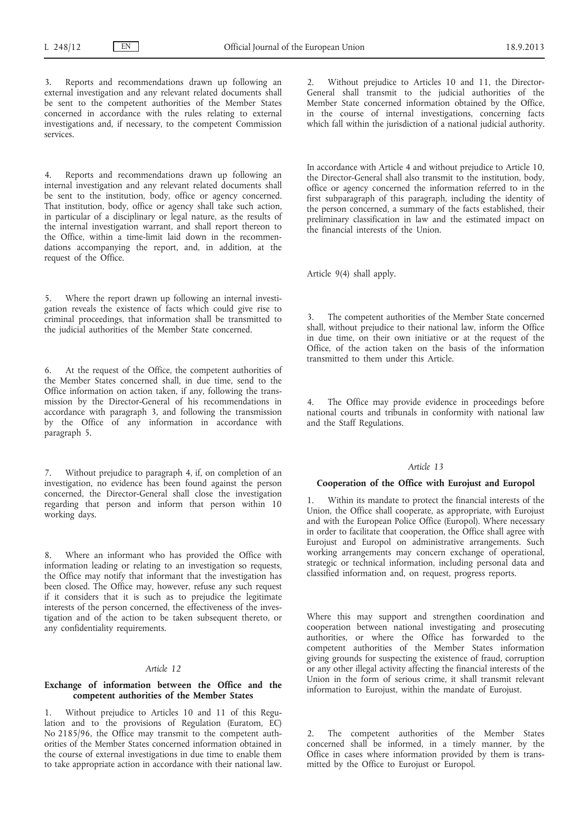Reports and recommendations drawn up following an external investigation and any relevant related documents shall be sent to the competent authorities of the Member States concerned in accordance with the rules relating to external investigations and, if necessary, to the competent Commission services.

4. Reports and recommendations drawn up following an internal investigation and any relevant related documents shall be sent to the institution, body, office or agency concerned. That institution, body, office or agency shall take such action, in particular of a disciplinary or legal nature, as the results of the internal investigation warrant, and shall report thereon to the Office, within a time-limit laid down in the recommendations accompanying the report, and, in addition, at the request of the Office.

5. Where the report drawn up following an internal investigation reveals the existence of facts which could give rise to criminal proceedings, that information shall be transmitted to the judicial authorities of the Member State concerned.

6. At the request of the Office, the competent authorities of the Member States concerned shall, in due time, send to the Office information on action taken, if any, following the transmission by the Director-General of his recommendations in accordance with paragraph 3, and following the transmission by the Office of any information in accordance with paragraph 5.

7. Without prejudice to paragraph 4, if, on completion of an investigation, no evidence has been found against the person concerned, the Director-General shall close the investigation regarding that person and inform that person within 10 working days.

8. Where an informant who has provided the Office with information leading or relating to an investigation so requests, the Office may notify that informant that the investigation has been closed. The Office may, however, refuse any such request if it considers that it is such as to prejudice the legitimate interests of the person concerned, the effectiveness of the investigation and of the action to be taken subsequent thereto, or any confidentiality requirements.

#### *Article 12*

### **Exchange of information between the Office and the competent authorities of the Member States**

1. Without prejudice to Articles 10 and 11 of this Regulation and to the provisions of Regulation (Euratom, EC) No 2185/96, the Office may transmit to the competent authorities of the Member States concerned information obtained in the course of external investigations in due time to enable them to take appropriate action in accordance with their national law.

Without prejudice to Articles 10 and 11, the Director-General shall transmit to the judicial authorities of the Member State concerned information obtained by the Office, in the course of internal investigations, concerning facts which fall within the jurisdiction of a national judicial authority.

In accordance with Article 4 and without prejudice to Article 10, the Director-General shall also transmit to the institution, body, office or agency concerned the information referred to in the first subparagraph of this paragraph, including the identity of the person concerned, a summary of the facts established, their preliminary classification in law and the estimated impact on the financial interests of the Union.

Article 9(4) shall apply.

The competent authorities of the Member State concerned shall, without prejudice to their national law, inform the Office in due time, on their own initiative or at the request of the Office, of the action taken on the basis of the information transmitted to them under this Article.

4. The Office may provide evidence in proceedings before national courts and tribunals in conformity with national law and the Staff Regulations.

### *Article 13*

### **Cooperation of the Office with Eurojust and Europol**

1. Within its mandate to protect the financial interests of the Union, the Office shall cooperate, as appropriate, with Eurojust and with the European Police Office (Europol). Where necessary in order to facilitate that cooperation, the Office shall agree with Eurojust and Europol on administrative arrangements. Such working arrangements may concern exchange of operational, strategic or technical information, including personal data and classified information and, on request, progress reports.

Where this may support and strengthen coordination and cooperation between national investigating and prosecuting authorities, or where the Office has forwarded to the competent authorities of the Member States information giving grounds for suspecting the existence of fraud, corruption or any other illegal activity affecting the financial interests of the Union in the form of serious crime, it shall transmit relevant information to Eurojust, within the mandate of Eurojust.

The competent authorities of the Member States concerned shall be informed, in a timely manner, by the Office in cases where information provided by them is transmitted by the Office to Eurojust or Europol.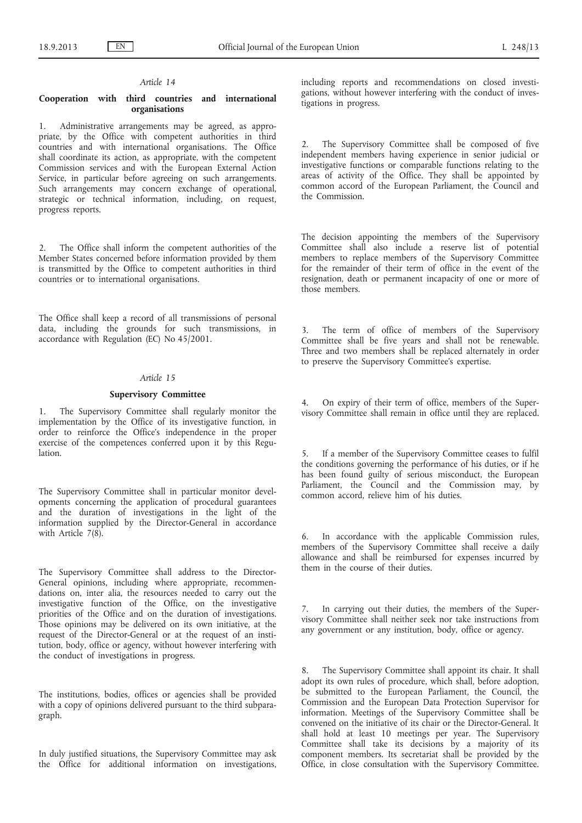### *Article 14*

### **Cooperation with third countries and international organisations**

1. Administrative arrangements may be agreed, as appropriate, by the Office with competent authorities in third countries and with international organisations. The Office shall coordinate its action, as appropriate, with the competent Commission services and with the European External Action Service, in particular before agreeing on such arrangements. Such arrangements may concern exchange of operational, strategic or technical information, including, on request, progress reports.

2. The Office shall inform the competent authorities of the Member States concerned before information provided by them is transmitted by the Office to competent authorities in third countries or to international organisations.

The Office shall keep a record of all transmissions of personal data, including the grounds for such transmissions, in accordance with Regulation (EC) No 45/2001.

### *Article 15*

#### **Supervisory Committee**

1. The Supervisory Committee shall regularly monitor the implementation by the Office of its investigative function, in order to reinforce the Office's independence in the proper exercise of the competences conferred upon it by this Regulation.

The Supervisory Committee shall in particular monitor developments concerning the application of procedural guarantees and the duration of investigations in the light of the information supplied by the Director-General in accordance with Article  $7(\overrightarrow{8})$ .

The Supervisory Committee shall address to the Director-General opinions, including where appropriate, recommendations on, inter alia, the resources needed to carry out the investigative function of the Office, on the investigative priorities of the Office and on the duration of investigations. Those opinions may be delivered on its own initiative, at the request of the Director-General or at the request of an institution, body, office or agency, without however interfering with the conduct of investigations in progress.

The institutions, bodies, offices or agencies shall be provided with a copy of opinions delivered pursuant to the third subparagraph.

In duly justified situations, the Supervisory Committee may ask the Office for additional information on investigations, including reports and recommendations on closed investigations, without however interfering with the conduct of investigations in progress.

2. The Supervisory Committee shall be composed of five independent members having experience in senior judicial or investigative functions or comparable functions relating to the areas of activity of the Office. They shall be appointed by common accord of the European Parliament, the Council and the Commission.

The decision appointing the members of the Supervisory Committee shall also include a reserve list of potential members to replace members of the Supervisory Committee for the remainder of their term of office in the event of the resignation, death or permanent incapacity of one or more of those members.

3. The term of office of members of the Supervisory Committee shall be five years and shall not be renewable. Three and two members shall be replaced alternately in order to preserve the Supervisory Committee's expertise.

4. On expiry of their term of office, members of the Supervisory Committee shall remain in office until they are replaced.

5. If a member of the Supervisory Committee ceases to fulfil the conditions governing the performance of his duties, or if he has been found guilty of serious misconduct, the European Parliament, the Council and the Commission may, by common accord, relieve him of his duties.

6. In accordance with the applicable Commission rules, members of the Supervisory Committee shall receive a daily allowance and shall be reimbursed for expenses incurred by them in the course of their duties.

7. In carrying out their duties, the members of the Supervisory Committee shall neither seek nor take instructions from any government or any institution, body, office or agency.

8. The Supervisory Committee shall appoint its chair. It shall adopt its own rules of procedure, which shall, before adoption, be submitted to the European Parliament, the Council, the Commission and the European Data Protection Supervisor for information. Meetings of the Supervisory Committee shall be convened on the initiative of its chair or the Director-General. It shall hold at least 10 meetings per year. The Supervisory Committee shall take its decisions by a majority of its component members. Its secretariat shall be provided by the Office, in close consultation with the Supervisory Committee.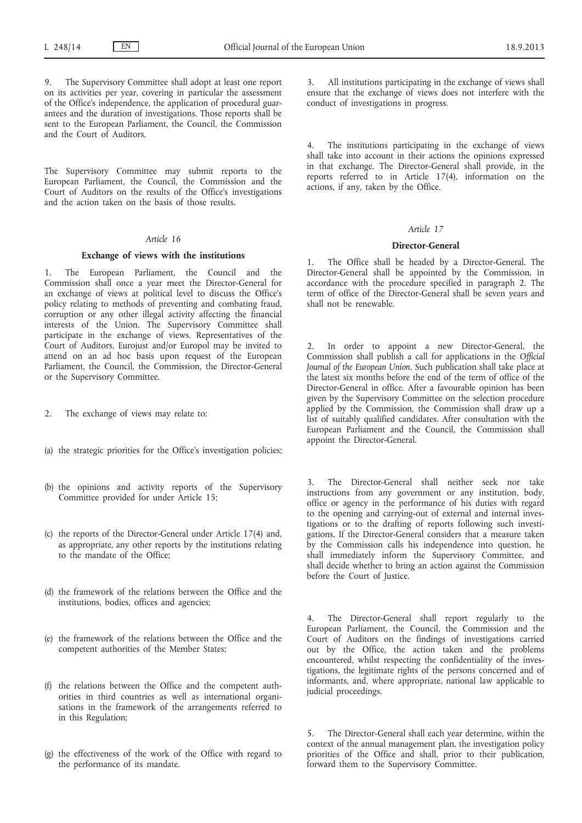The Supervisory Committee shall adopt at least one report on its activities per year, covering in particular the assessment of the Office's independence, the application of procedural guarantees and the duration of investigations. Those reports shall be sent to the European Parliament, the Council, the Commission and the Court of Auditors.

The Supervisory Committee may submit reports to the European Parliament, the Council, the Commission and the Court of Auditors on the results of the Office's investigations and the action taken on the basis of those results.

### *Article 16*

### **Exchange of views with the institutions**

1. The European Parliament, the Council and the Commission shall once a year meet the Director-General for an exchange of views at political level to discuss the Office's policy relating to methods of preventing and combating fraud, corruption or any other illegal activity affecting the financial interests of the Union. The Supervisory Committee shall participate in the exchange of views. Representatives of the Court of Auditors, Eurojust and/or Europol may be invited to attend on an ad hoc basis upon request of the European Parliament, the Council, the Commission, the Director-General or the Supervisory Committee.

2. The exchange of views may relate to:

- (a) the strategic priorities for the Office's investigation policies;
- (b) the opinions and activity reports of the Supervisory Committee provided for under Article 15;
- (c) the reports of the Director-General under Article 17(4) and, as appropriate, any other reports by the institutions relating to the mandate of the Office;
- (d) the framework of the relations between the Office and the institutions, bodies, offices and agencies;
- (e) the framework of the relations between the Office and the competent authorities of the Member States;
- (f) the relations between the Office and the competent authorities in third countries as well as international organisations in the framework of the arrangements referred to in this Regulation;
- (g) the effectiveness of the work of the Office with regard to the performance of its mandate.

3. All institutions participating in the exchange of views shall ensure that the exchange of views does not interfere with the conduct of investigations in progress.

The institutions participating in the exchange of views shall take into account in their actions the opinions expressed in that exchange. The Director-General shall provide, in the reports referred to in Article 17(4), information on the actions, if any, taken by the Office.

### *Article 17*

#### **Director-General**

The Office shall be headed by a Director-General. The Director-General shall be appointed by the Commission, in accordance with the procedure specified in paragraph 2. The term of office of the Director-General shall be seven years and shall not be renewable.

2. In order to appoint a new Director-General, the Commission shall publish a call for applications in the *Official Journal of the European Union*. Such publication shall take place at the latest six months before the end of the term of office of the Director-General in office. After a favourable opinion has been given by the Supervisory Committee on the selection procedure applied by the Commission, the Commission shall draw up a list of suitably qualified candidates. After consultation with the European Parliament and the Council, the Commission shall appoint the Director-General.

The Director-General shall neither seek nor take instructions from any government or any institution, body, office or agency in the performance of his duties with regard to the opening and carrying-out of external and internal investigations or to the drafting of reports following such investigations. If the Director-General considers that a measure taken by the Commission calls his independence into question, he shall immediately inform the Supervisory Committee, and shall decide whether to bring an action against the Commission before the Court of Justice.

4. The Director-General shall report regularly to the European Parliament, the Council, the Commission and the Court of Auditors on the findings of investigations carried out by the Office, the action taken and the problems encountered, whilst respecting the confidentiality of the investigations, the legitimate rights of the persons concerned and of informants, and, where appropriate, national law applicable to judicial proceedings.

The Director-General shall each year determine, within the context of the annual management plan, the investigation policy priorities of the Office and shall, prior to their publication, forward them to the Supervisory Committee.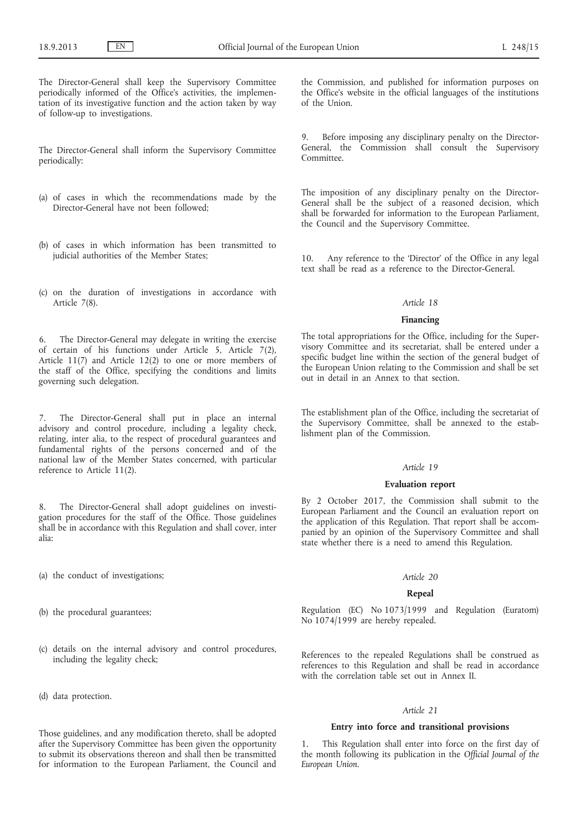The Director-General shall keep the Supervisory Committee periodically informed of the Office's activities, the implementation of its investigative function and the action taken by way of follow-up to investigations.

The Director-General shall inform the Supervisory Committee periodically:

- (a) of cases in which the recommendations made by the Director-General have not been followed;
- (b) of cases in which information has been transmitted to judicial authorities of the Member States;
- (c) on the duration of investigations in accordance with Article 7(8).

6. The Director-General may delegate in writing the exercise of certain of his functions under Article 5, Article 7(2), Article 11(7) and Article 12(2) to one or more members of the staff of the Office, specifying the conditions and limits governing such delegation.

7. The Director-General shall put in place an internal advisory and control procedure, including a legality check, relating, inter alia, to the respect of procedural guarantees and fundamental rights of the persons concerned and of the national law of the Member States concerned, with particular reference to Article 11(2).

8. The Director-General shall adopt guidelines on investigation procedures for the staff of the Office. Those guidelines shall be in accordance with this Regulation and shall cover, inter alia:

(a) the conduct of investigations;

- (b) the procedural guarantees;
- (c) details on the internal advisory and control procedures, including the legality check;
- (d) data protection.

Those guidelines, and any modification thereto, shall be adopted after the Supervisory Committee has been given the opportunity to submit its observations thereon and shall then be transmitted for information to the European Parliament, the Council and

the Commission, and published for information purposes on the Office's website in the official languages of the institutions of the Union.

9. Before imposing any disciplinary penalty on the Director-General, the Commission shall consult the Supervisory Committee.

The imposition of any disciplinary penalty on the Director-General shall be the subject of a reasoned decision, which shall be forwarded for information to the European Parliament, the Council and the Supervisory Committee.

10. Any reference to the 'Director' of the Office in any legal text shall be read as a reference to the Director-General.

### *Article 18*

#### **Financing**

The total appropriations for the Office, including for the Supervisory Committee and its secretariat, shall be entered under a specific budget line within the section of the general budget of the European Union relating to the Commission and shall be set out in detail in an Annex to that section.

The establishment plan of the Office, including the secretariat of the Supervisory Committee, shall be annexed to the establishment plan of the Commission.

### *Article 19*

#### **Evaluation report**

By 2 October 2017, the Commission shall submit to the European Parliament and the Council an evaluation report on the application of this Regulation. That report shall be accompanied by an opinion of the Supervisory Committee and shall state whether there is a need to amend this Regulation.

#### *Article 20*

#### **Repeal**

Regulation (EC) No 1073/1999 and Regulation (Euratom) No 1074/1999 are hereby repealed.

References to the repealed Regulations shall be construed as references to this Regulation and shall be read in accordance with the correlation table set out in Annex II.

### *Article 21*

#### **Entry into force and transitional provisions**

1. This Regulation shall enter into force on the first day of the month following its publication in the *Official Journal of the European Union*.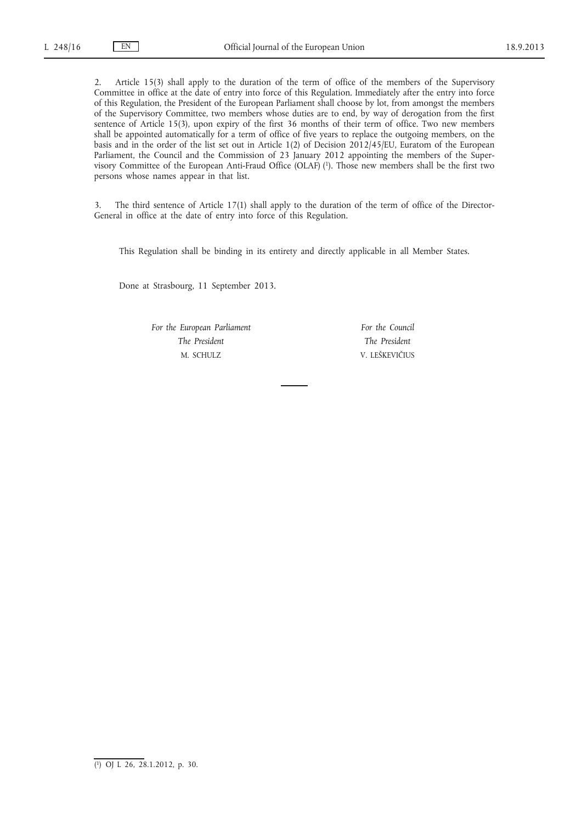2. Article 15(3) shall apply to the duration of the term of office of the members of the Supervisory Committee in office at the date of entry into force of this Regulation. Immediately after the entry into force of this Regulation, the President of the European Parliament shall choose by lot, from amongst the members of the Supervisory Committee, two members whose duties are to end, by way of derogation from the first sentence of Article 15(3), upon expiry of the first 36 months of their term of office. Two new members shall be appointed automatically for a term of office of five years to replace the outgoing members, on the basis and in the order of the list set out in Article 1(2) of Decision 2012/45/EU, Euratom of the European Parliament, the Council and the Commission of 23 January 2012 appointing the members of the Supervisory Committee of the European Anti-Fraud Office (OLAF) (1). Those new members shall be the first two persons whose names appear in that list.

3. The third sentence of Article 17(1) shall apply to the duration of the term of office of the Director-General in office at the date of entry into force of this Regulation.

This Regulation shall be binding in its entirety and directly applicable in all Member States.

Done at Strasbourg, 11 September 2013.

*For the European Parliament The President* M. SCHULZ

*For the Council The President* V. LEŠKEVIČIUS

<sup>(</sup> 1) OJ L 26, 28.1.2012, p. 30.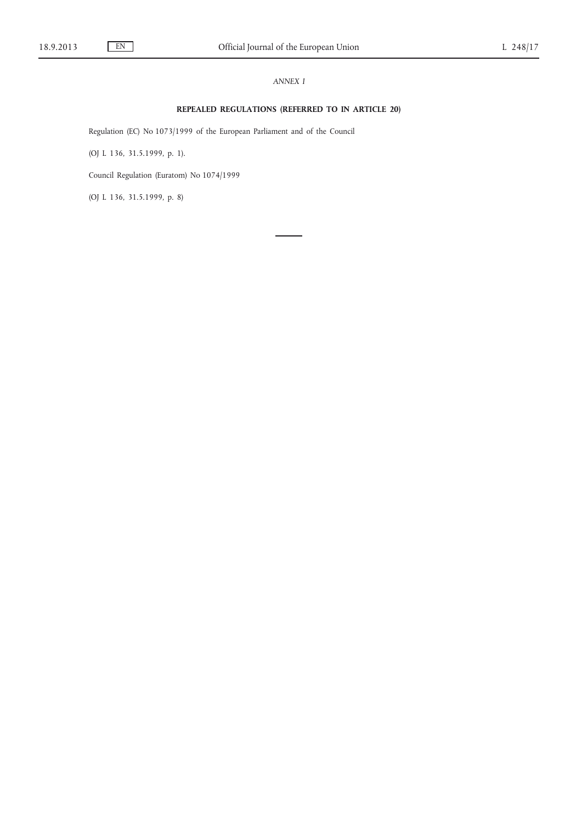# *ANNEX I*

# **REPEALED REGULATIONS (REFERRED TO IN ARTICLE 20)**

Regulation (EC) No 1073/1999 of the European Parliament and of the Council

(OJ L 136, 31.5.1999, p. 1).

Council Regulation (Euratom) No 1074/1999

(OJ L 136, 31.5.1999, p. 8)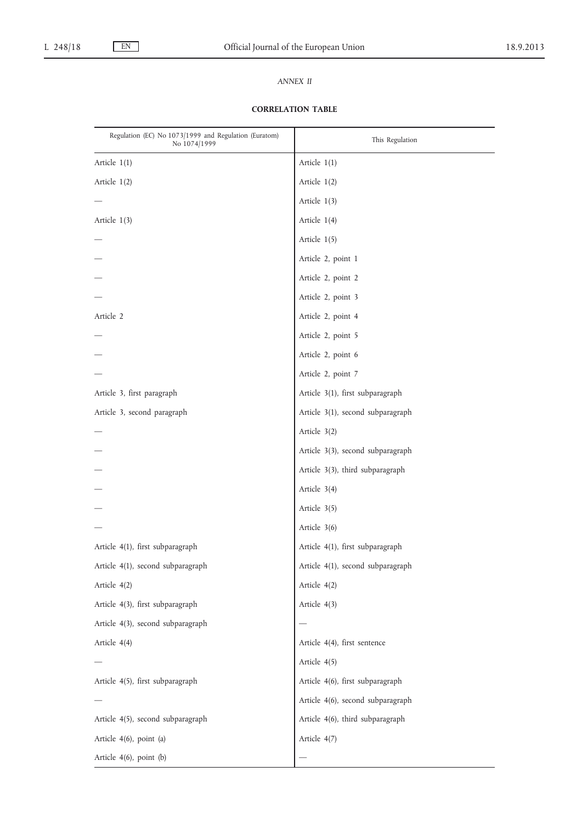# *ANNEX II*

# **CORRELATION TABLE**

| Regulation (EC) No 1073/1999 and Regulation (Euratom)<br>No 1074/1999 | This Regulation                   |
|-----------------------------------------------------------------------|-----------------------------------|
| Article 1(1)                                                          | Article 1(1)                      |
| Article 1(2)                                                          | Article 1(2)                      |
|                                                                       | Article 1(3)                      |
| Article 1(3)                                                          | Article 1(4)                      |
|                                                                       | Article 1(5)                      |
|                                                                       | Article 2, point 1                |
|                                                                       | Article 2, point 2                |
|                                                                       | Article 2, point 3                |
| Article 2                                                             | Article 2, point 4                |
|                                                                       | Article 2, point 5                |
|                                                                       | Article 2, point 6                |
|                                                                       | Article 2, point 7                |
| Article 3, first paragraph                                            | Article 3(1), first subparagraph  |
| Article 3, second paragraph                                           | Article 3(1), second subparagraph |
|                                                                       | Article 3(2)                      |
|                                                                       | Article 3(3), second subparagraph |
|                                                                       | Article 3(3), third subparagraph  |
|                                                                       | Article 3(4)                      |
|                                                                       | Article 3(5)                      |
|                                                                       | Article 3(6)                      |
| Article 4(1), first subparagraph                                      | Article 4(1), first subparagraph  |
| Article 4(1), second subparagraph                                     | Article 4(1), second subparagraph |
| Article 4(2)                                                          | Article 4(2)                      |
| Article 4(3), first subparagraph                                      | Article 4(3)                      |
| Article 4(3), second subparagraph                                     |                                   |
| Article 4(4)                                                          | Article 4(4), first sentence      |
|                                                                       | Article 4(5)                      |
| Article 4(5), first subparagraph                                      | Article 4(6), first subparagraph  |
|                                                                       | Article 4(6), second subparagraph |
| Article 4(5), second subparagraph                                     | Article 4(6), third subparagraph  |
| Article 4(6), point (a)                                               | Article 4(7)                      |
| Article 4(6), point (b)                                               |                                   |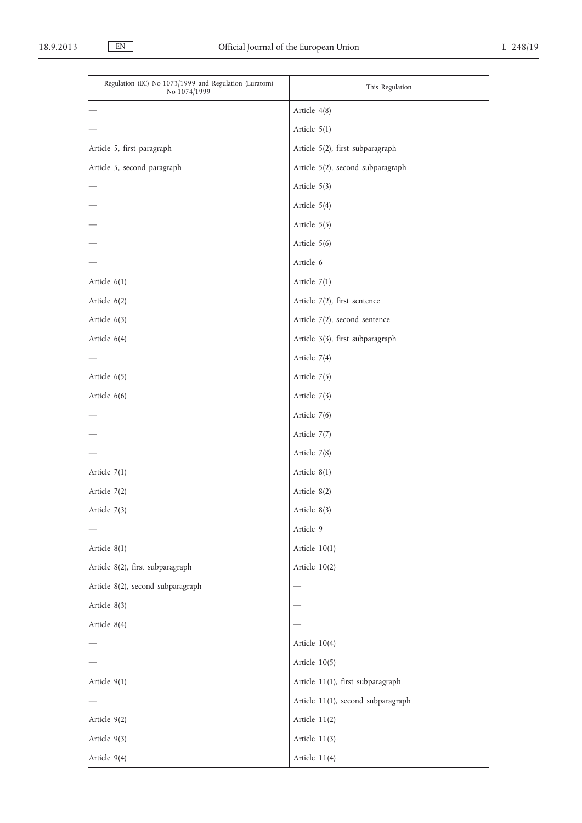| Regulation (EC) No 1073/1999 and Regulation (Euratom)<br>No 1074/1999 | This Regulation                    |
|-----------------------------------------------------------------------|------------------------------------|
|                                                                       | Article 4(8)                       |
|                                                                       | Article 5(1)                       |
| Article 5, first paragraph                                            | Article 5(2), first subparagraph   |
| Article 5, second paragraph                                           | Article 5(2), second subparagraph  |
|                                                                       | Article 5(3)                       |
|                                                                       | Article 5(4)                       |
|                                                                       | Article 5(5)                       |
|                                                                       | Article 5(6)                       |
|                                                                       | Article 6                          |
| Article 6(1)                                                          | Article 7(1)                       |
| Article 6(2)                                                          | Article 7(2), first sentence       |
| Article 6(3)                                                          | Article 7(2), second sentence      |
| Article 6(4)                                                          | Article 3(3), first subparagraph   |
|                                                                       | Article 7(4)                       |
| Article 6(5)                                                          | Article 7(5)                       |
| Article 6(6)                                                          | Article 7(3)                       |
|                                                                       | Article 7(6)                       |
|                                                                       | Article 7(7)                       |
|                                                                       | Article 7(8)                       |
| Article $7(1)$                                                        | Article 8(1)                       |
| Article 7(2)                                                          | Article 8(2)                       |
| Article 7(3)                                                          | Article 8(3)                       |
|                                                                       | Article 9                          |
| Article 8(1)                                                          | Article 10(1)                      |
| Article 8(2), first subparagraph                                      | Article 10(2)                      |
| Article 8(2), second subparagraph                                     |                                    |
| Article 8(3)                                                          |                                    |
| Article 8(4)                                                          |                                    |
|                                                                       | Article 10(4)                      |
|                                                                       | Article 10(5)                      |
| Article 9(1)                                                          | Article 11(1), first subparagraph  |
|                                                                       | Article 11(1), second subparagraph |
| Article 9(2)                                                          | Article 11(2)                      |
| Article 9(3)                                                          | Article 11(3)                      |
| Article 9(4)                                                          | Article 11(4)                      |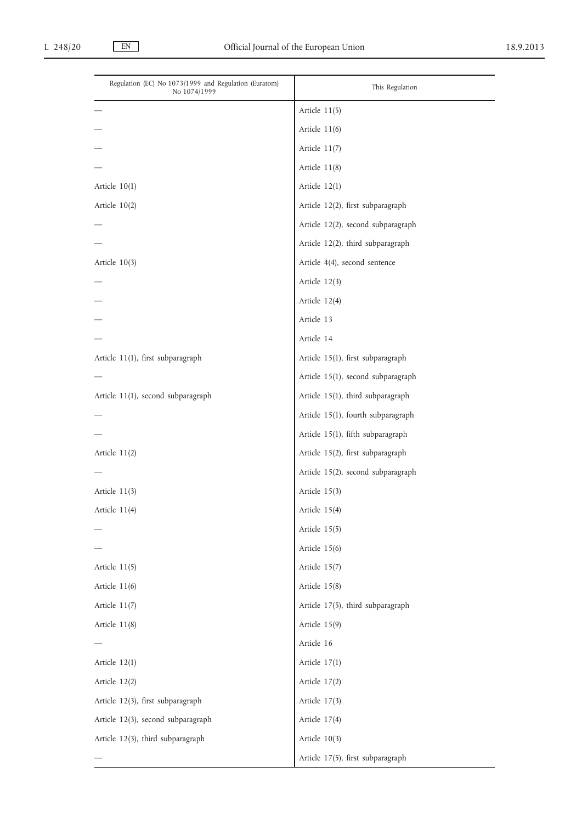| Regulation (EC) No 1073/1999 and Regulation (Euratom)<br>No 1074/1999 | This Regulation                    |
|-----------------------------------------------------------------------|------------------------------------|
|                                                                       | Article 11(5)                      |
|                                                                       | Article 11(6)                      |
|                                                                       | Article $11(7)$                    |
|                                                                       | Article 11(8)                      |
| Article 10(1)                                                         | Article 12(1)                      |
| Article 10(2)                                                         | Article 12(2), first subparagraph  |
|                                                                       | Article 12(2), second subparagraph |
|                                                                       | Article 12(2), third subparagraph  |
| Article 10(3)                                                         | Article 4(4), second sentence      |
|                                                                       | Article 12(3)                      |
|                                                                       | Article 12(4)                      |
|                                                                       | Article 13                         |
|                                                                       | Article 14                         |
| Article 11(1), first subparagraph                                     | Article 15(1), first subparagraph  |
|                                                                       | Article 15(1), second subparagraph |
| Article 11(1), second subparagraph                                    | Article 15(1), third subparagraph  |
|                                                                       | Article 15(1), fourth subparagraph |
|                                                                       | Article 15(1), fifth subparagraph  |
| Article 11(2)                                                         | Article 15(2), first subparagraph  |
|                                                                       | Article 15(2), second subparagraph |
| Article 11(3)                                                         | Article 15(3)                      |
| Article 11(4)                                                         | Article 15(4)                      |
|                                                                       | Article 15(5)                      |
|                                                                       | Article 15(6)                      |
| Article 11(5)                                                         | Article 15(7)                      |
| Article 11(6)                                                         | Article 15(8)                      |
| Article 11(7)                                                         | Article 17(5), third subparagraph  |
| Article 11(8)                                                         | Article 15(9)                      |
|                                                                       | Article 16                         |
| Article 12(1)                                                         | Article 17(1)                      |
| Article 12(2)                                                         | Article 17(2)                      |
| Article 12(3), first subparagraph                                     | Article 17(3)                      |
| Article 12(3), second subparagraph                                    | Article 17(4)                      |
| Article 12(3), third subparagraph                                     | Article 10(3)                      |
|                                                                       | Article 17(5), first subparagraph  |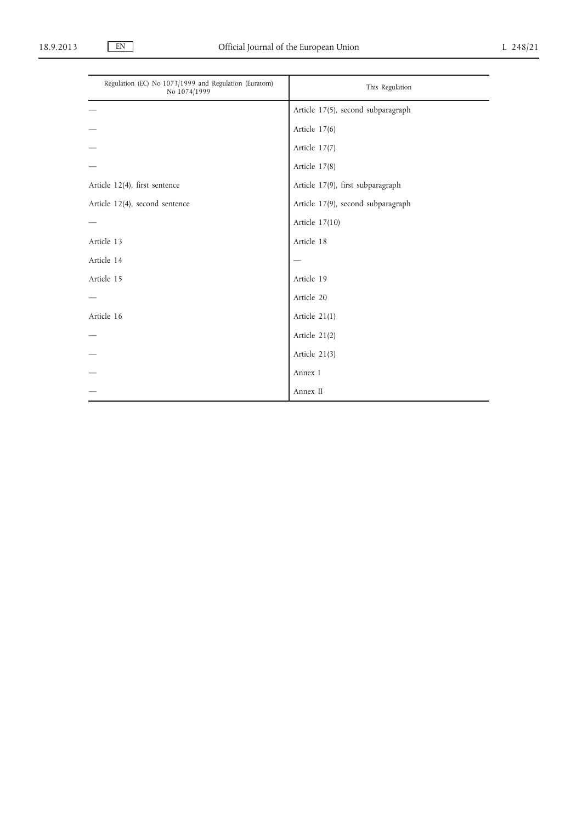| Regulation (EC) No 1073/1999 and Regulation (Euratom)<br>No 1074/1999 | This Regulation                    |
|-----------------------------------------------------------------------|------------------------------------|
|                                                                       | Article 17(5), second subparagraph |
|                                                                       | Article 17(6)                      |
|                                                                       | Article 17(7)                      |
|                                                                       | Article 17(8)                      |
| Article 12(4), first sentence                                         | Article 17(9), first subparagraph  |
| Article 12(4), second sentence                                        | Article 17(9), second subparagraph |
|                                                                       | Article 17(10)                     |
| Article 13                                                            | Article 18                         |
| Article 14                                                            |                                    |
| Article 15                                                            | Article 19                         |
|                                                                       | Article 20                         |
| Article 16                                                            | Article $21(1)$                    |
|                                                                       | Article 21(2)                      |
|                                                                       | Article 21(3)                      |
|                                                                       | Annex I                            |
|                                                                       | Annex II                           |